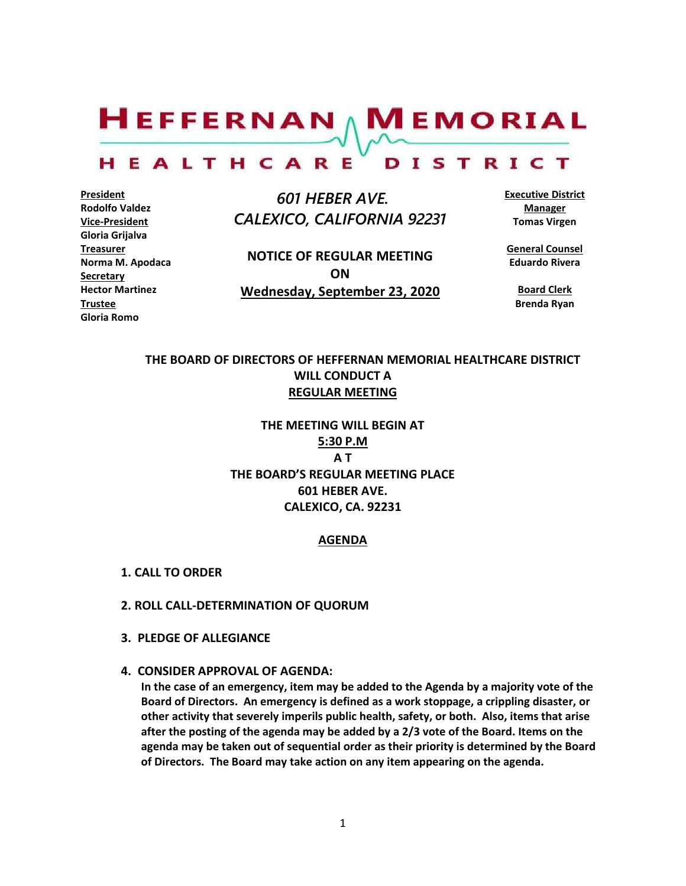$H$ EFFERNAN  $\wedge$  M EMORIAL

#### HEALTHCARE DISTRICT

**President Rodolfo Valdez Vice-President Gloria Grijalva Treasurer Norma M. Apodaca Secretary Hector Martinez Trustee Gloria Romo**

 *601 HEBER AVE. CALEXICO, CALIFORNIA 92231*

**NOTICE OF REGULAR MEETING ON Wednesday, September 23, 2020** **Executive District Manager Tomas Virgen**

**General Counsel Eduardo Rivera**

**Board Clerk Brenda Ryan**

# **THE BOARD OF DIRECTORS OF HEFFERNAN MEMORIAL HEALTHCARE DISTRICT WILL CONDUCT A REGULAR MEETING**

**THE MEETING WILL BEGIN AT 5:30 P.M A T THE BOARD'S REGULAR MEETING PLACE 601 HEBER AVE. CALEXICO, CA. 92231**

### **AGENDA**

- **1. CALL TO ORDER**
- **2. ROLL CALL-DETERMINATION OF QUORUM**
- **3. PLEDGE OF ALLEGIANCE**
- **4. CONSIDER APPROVAL OF AGENDA:**

**In the case of an emergency, item may be added to the Agenda by a majority vote of the Board of Directors. An emergency is defined as a work stoppage, a crippling disaster, or other activity that severely imperils public health, safety, or both. Also, items that arise after the posting of the agenda may be added by a 2/3 vote of the Board. Items on the agenda may be taken out of sequential order as their priority is determined by the Board of Directors. The Board may take action on any item appearing on the agenda.**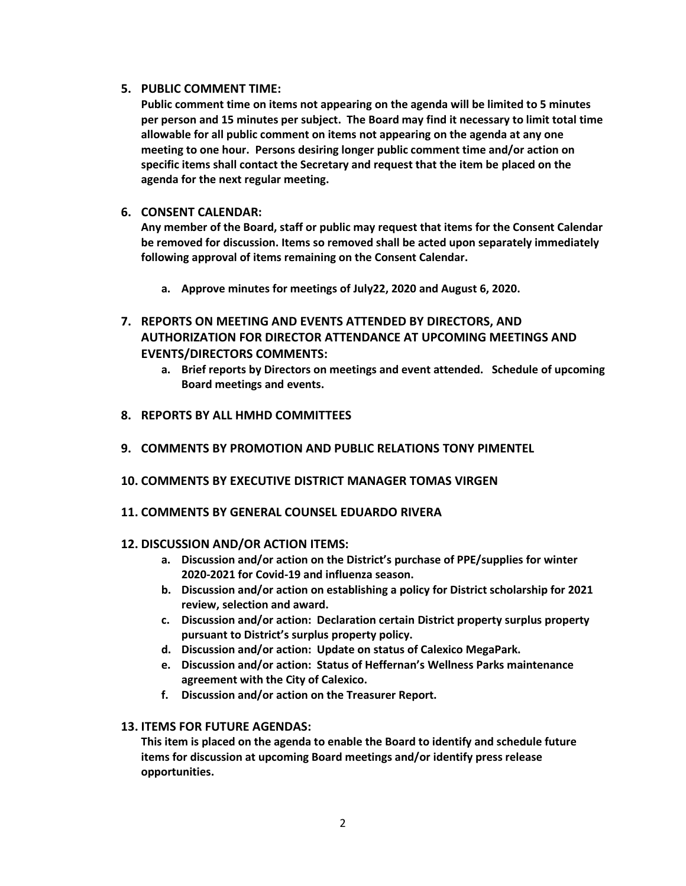# **5. PUBLIC COMMENT TIME:**

**Public comment time on items not appearing on the agenda will be limited to 5 minutes per person and 15 minutes per subject. The Board may find it necessary to limit total time allowable for all public comment on items not appearing on the agenda at any one meeting to one hour. Persons desiring longer public comment time and/or action on specific items shall contact the Secretary and request that the item be placed on the agenda for the next regular meeting.**

# **6. CONSENT CALENDAR:**

**Any member of the Board, staff or public may request that items for the Consent Calendar be removed for discussion. Items so removed shall be acted upon separately immediately following approval of items remaining on the Consent Calendar.**

- **a. Approve minutes for meetings of July22, 2020 and August 6, 2020.**
- **7. REPORTS ON MEETING AND EVENTS ATTENDED BY DIRECTORS, AND AUTHORIZATION FOR DIRECTOR ATTENDANCE AT UPCOMING MEETINGS AND EVENTS/DIRECTORS COMMENTS:**
	- **a. Brief reports by Directors on meetings and event attended. Schedule of upcoming Board meetings and events.**
- **8. REPORTS BY ALL HMHD COMMITTEES**
- **9. COMMENTS BY PROMOTION AND PUBLIC RELATIONS TONY PIMENTEL**
- **10. COMMENTS BY EXECUTIVE DISTRICT MANAGER TOMAS VIRGEN**
- **11. COMMENTS BY GENERAL COUNSEL EDUARDO RIVERA**

# **12. DISCUSSION AND/OR ACTION ITEMS:**

- **a. Discussion and/or action on the District's purchase of PPE/supplies for winter 2020-2021 for Covid-19 and influenza season.**
- **b. Discussion and/or action on establishing a policy for District scholarship for 2021 review, selection and award.**
- **c. Discussion and/or action: Declaration certain District property surplus property pursuant to District's surplus property policy.**
- **d. Discussion and/or action: Update on status of Calexico MegaPark.**
- **e. Discussion and/or action: Status of Heffernan's Wellness Parks maintenance agreement with the City of Calexico.**
- **f. Discussion and/or action on the Treasurer Report.**

# **13. ITEMS FOR FUTURE AGENDAS:**

**This item is placed on the agenda to enable the Board to identify and schedule future items for discussion at upcoming Board meetings and/or identify press release opportunities.**